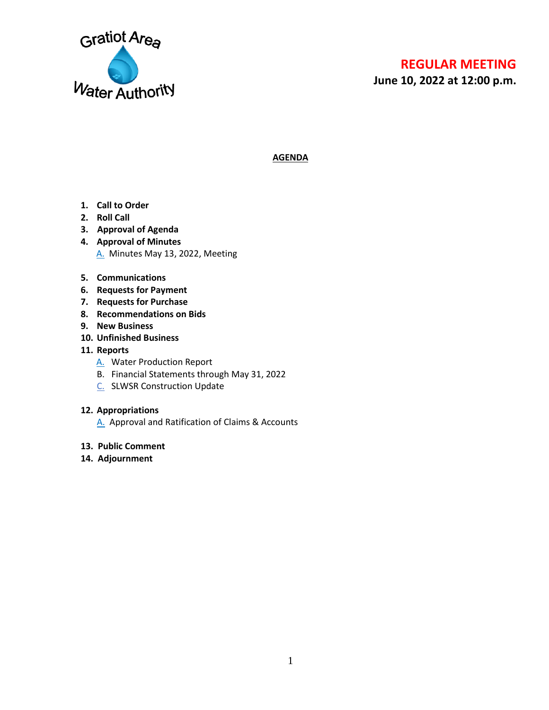

# **REGULAR MEETING**

**June 10, 2022 at 12:00 p.m.**

**AGENDA**

- **1. Call to Order**
- **2. Roll Call**
- **3. Approval of Agenda**
- **4. Approval of Minutes** [A.](#page-1-0) Minutes May 13, 2022, Meeting
- **5. Communications**
- **6. Requests for Payment**
- **7. Requests for Purchase**
- **8. Recommendations on Bids**
- **9. New Business**
- **10. Unfinished Business**
- **11. Reports**
	- [A.](#page-3-0) Water Production Report
	- B. Financial Statements through May 31, 2022
	- [C.](#page-7-0) SLWSR Construction Update

#### **12. Appropriations**

- [A.](#page-8-0) Approval and Ratification of Claims & Accounts
- **13. Public Comment**
- **14. Adjournment**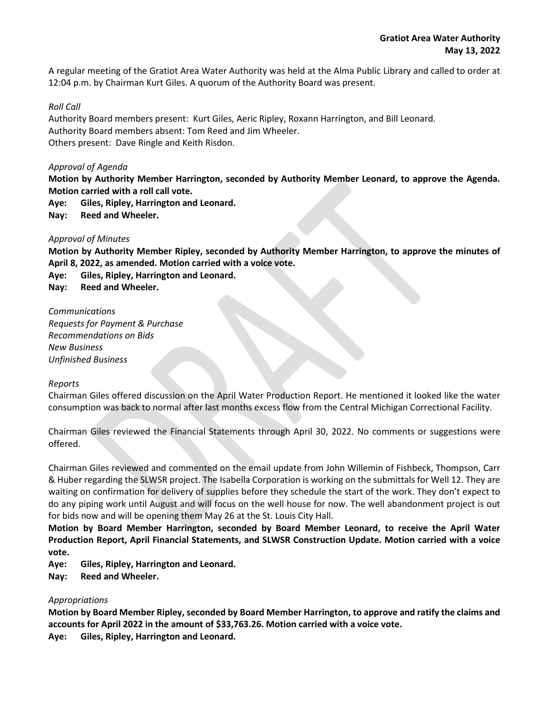<span id="page-1-0"></span>A regular meeting of the Gratiot Area Water Authority was held at the Alma Public Library and called to order at 12:04 p.m. by Chairman Kurt Giles. A quorum of the Authority Board was present.

#### *Roll Call*

Authority Board members present: Kurt Giles, Aeric Ripley, Roxann Harrington, and Bill Leonard. Authority Board members absent: Tom Reed and Jim Wheeler. Others present: Dave Ringle and Keith Risdon.

#### *Approval of Agenda*

**Motion by Authority Member Harrington, seconded by Authority Member Leonard, to approve the Agenda. Motion carried with a roll call vote.** 

**Aye: Giles, Ripley, Harrington and Leonard.**

**Nay: Reed and Wheeler.**

#### *Approval of Minutes*

**Motion by Authority Member Ripley, seconded by Authority Member Harrington, to approve the minutes of April 8, 2022, as amended. Motion carried with a voice vote.**

**Aye: Giles, Ripley, Harrington and Leonard.**

**Nay: Reed and Wheeler.**

# *Communications*

*Requests for Payment & Purchase Recommendations on Bids New Business Unfinished Business*

#### *Reports*

Chairman Giles offered discussion on the April Water Production Report. He mentioned it looked like the water consumption was back to normal after last months excess flow from the Central Michigan Correctional Facility.

Chairman Giles reviewed the Financial Statements through April 30, 2022. No comments or suggestions were offered.

Chairman Giles reviewed and commented on the email update from John Willemin of Fishbeck, Thompson, Carr & Huber regarding the SLWSR project. The Isabella Corporation is working on the submittals for Well 12. They are waiting on confirmation for delivery of supplies before they schedule the start of the work. They don't expect to do any piping work until August and will focus on the well house for now. The well abandonment project is out for bids now and will be opening them May 26 at the St. Louis City Hall.

**Motion by Board Member Harrington, seconded by Board Member Leonard, to receive the April Water Production Report, April Financial Statements, and SLWSR Construction Update. Motion carried with a voice vote.**

**Aye: Giles, Ripley, Harrington and Leonard.**

**Nay: Reed and Wheeler.**

#### *Appropriations*

**Motion by Board Member Ripley, seconded by Board Member Harrington, to approve and ratify the claims and accounts for April 2022 in the amount of \$33,763.26. Motion carried with a voice vote. Aye: Giles, Ripley, Harrington and Leonard.**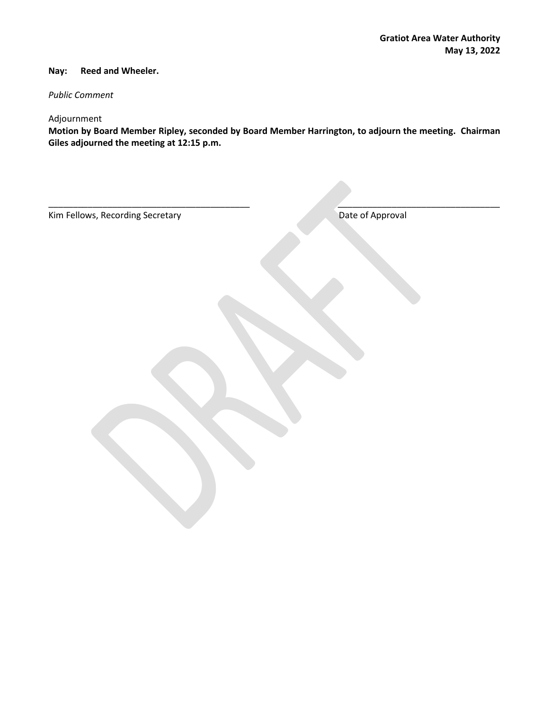#### **Nay: Reed and Wheeler.**

## *Public Comment*

## Adjournment

**Motion by Board Member Ripley, seconded by Board Member Harrington, to adjourn the meeting. Chairman Giles adjourned the meeting at 12:15 p.m.**

| Kim Fellows, Recording Secretary | Date of Approval |
|----------------------------------|------------------|
|                                  |                  |
|                                  |                  |
|                                  |                  |
|                                  |                  |
|                                  |                  |
|                                  |                  |
|                                  |                  |
|                                  |                  |
|                                  |                  |
|                                  |                  |
|                                  |                  |
|                                  |                  |
|                                  |                  |
|                                  |                  |
|                                  |                  |
|                                  |                  |
|                                  |                  |
|                                  |                  |
|                                  |                  |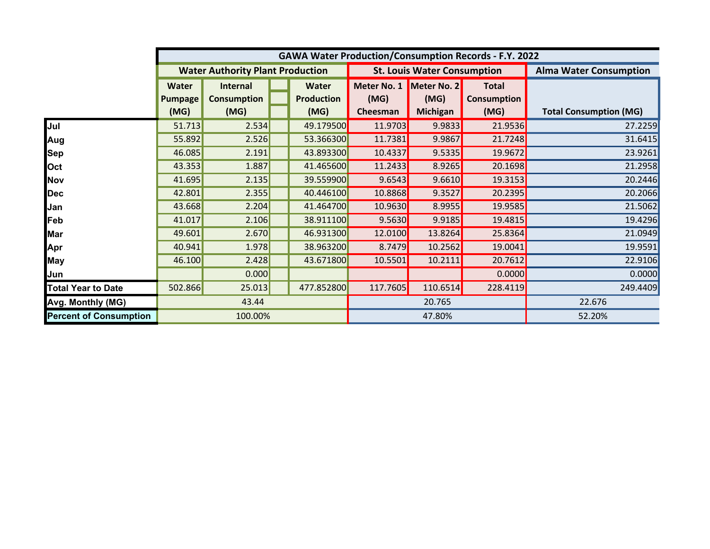<span id="page-3-0"></span>

|                               |                |                                         |        |                   | <b>GAWA Water Production/Consumption Records - F.Y. 2022</b> |                                    |                               |                               |
|-------------------------------|----------------|-----------------------------------------|--------|-------------------|--------------------------------------------------------------|------------------------------------|-------------------------------|-------------------------------|
|                               |                | <b>Water Authority Plant Production</b> |        |                   |                                                              | <b>St. Louis Water Consumption</b> | <b>Alma Water Consumption</b> |                               |
|                               | Water          | Internal                                |        | <b>Water</b>      | Meter No. 1                                                  | Meter No. 2                        | <b>Total</b>                  |                               |
|                               | <b>Pumpage</b> | <b>Consumption</b>                      |        | <b>Production</b> | (MG)                                                         | (MG)                               | <b>Consumption</b>            |                               |
|                               | (MG)           | (MG)                                    |        | (MG)              | Cheesman                                                     | <b>Michigan</b>                    | (MG)                          | <b>Total Consumption (MG)</b> |
| Jul                           | 51.713         | 2.534                                   |        | 49.179500         | 11.9703                                                      | 9.9833                             | 21.9536                       | 27.2259                       |
| Aug                           | 55.892         | 2.526                                   |        | 53.366300         | 11.7381                                                      | 9.9867                             | 21.7248                       | 31.6415                       |
| <b>Sep</b>                    | 46.085         | 2.191                                   |        | 43.893300         | 10.4337                                                      | 9.5335                             | 19.9672                       | 23.9261                       |
| Oct                           | 43.353         | 1.887                                   |        | 41.465600         | 11.2433                                                      | 8.9265                             | 20.1698                       | 21.2958                       |
| <b>Nov</b>                    | 41.695         | 2.135                                   |        | 39.559900         | 9.6543                                                       | 9.6610                             | 19.3153                       | 20.2446                       |
| <b>Dec</b>                    | 42.801         | 2.355                                   |        | 40.446100         | 10.8868                                                      | 9.3527                             | 20.2395                       | 20.2066                       |
| Jan                           | 43.668         | 2.204                                   |        | 41.464700         | 10.9630                                                      | 8.9955                             | 19.9585                       | 21.5062                       |
| Feb                           | 41.017         | 2.106                                   |        | 38.911100         | 9.5630                                                       | 9.9185                             | 19.4815                       | 19.4296                       |
| <b>Mar</b>                    | 49.601         | 2.670                                   |        | 46.931300         | 12.0100                                                      | 13.8264                            | 25.8364                       | 21.0949                       |
| Apr                           | 40.941         | 1.978                                   |        | 38.963200         | 8.7479                                                       | 10.2562                            | 19.0041                       | 19.9591                       |
| <b>May</b>                    | 46.100         | 2.428                                   |        | 43.671800         | 10.5501                                                      | 10.2111                            | 20.7612                       | 22.9106                       |
| Jun                           |                | 0.000                                   |        |                   |                                                              |                                    | 0.0000                        | 0.0000                        |
| <b>Total Year to Date</b>     | 502.866        | 25.013                                  |        | 477.852800        | 117.7605                                                     | 110.6514                           | 228.4119                      | 249.4409                      |
| Avg. Monthly (MG)             | 43.44          |                                         | 20.765 |                   |                                                              | 22.676                             |                               |                               |
| <b>Percent of Consumption</b> | 100.00%        |                                         |        | 47.80%            |                                                              |                                    | 52.20%                        |                               |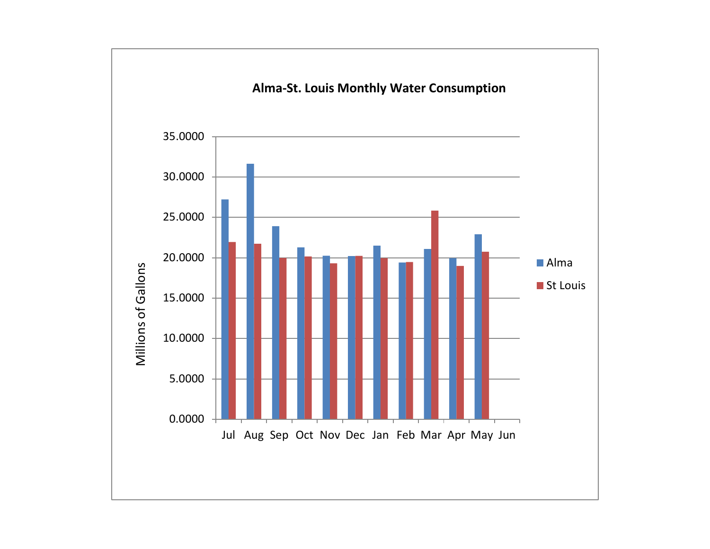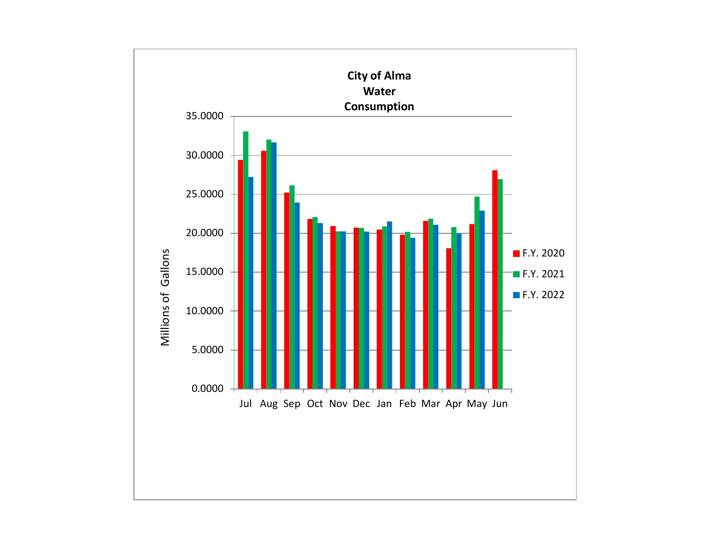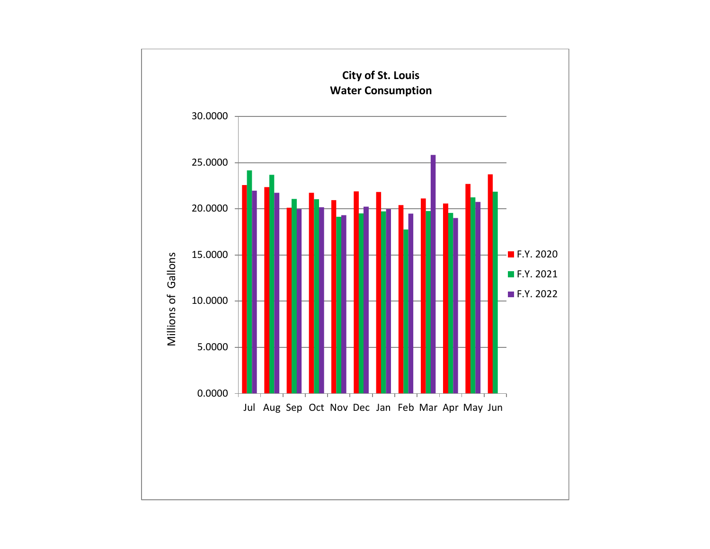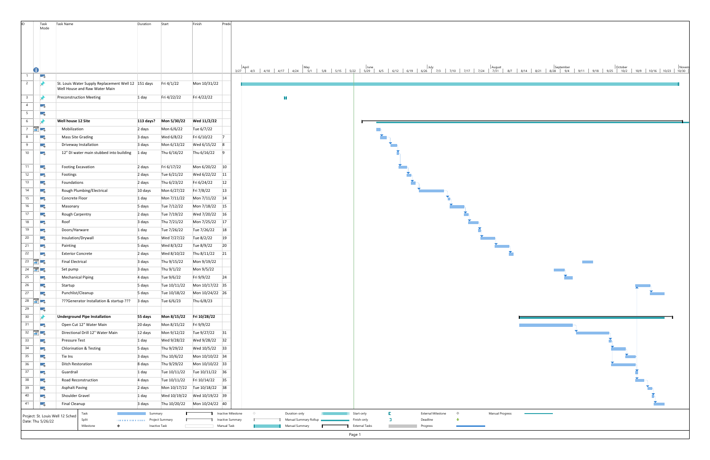<span id="page-7-0"></span>

| lid.            | Task                                  | <b>Task Name</b>                                       | Duration  | Start                    | Finish                       | Prede                                                                                                                                                                                                                        |  |
|-----------------|---------------------------------------|--------------------------------------------------------|-----------|--------------------------|------------------------------|------------------------------------------------------------------------------------------------------------------------------------------------------------------------------------------------------------------------------|--|
|                 | Mode                                  |                                                        |           |                          |                              |                                                                                                                                                                                                                              |  |
|                 |                                       |                                                        |           |                          |                              |                                                                                                                                                                                                                              |  |
|                 |                                       |                                                        |           |                          |                              |                                                                                                                                                                                                                              |  |
|                 |                                       |                                                        |           |                          |                              |                                                                                                                                                                                                                              |  |
|                 |                                       |                                                        |           |                          |                              |                                                                                                                                                                                                                              |  |
|                 |                                       |                                                        |           |                          |                              |                                                                                                                                                                                                                              |  |
|                 | O<br>Т.                               |                                                        |           |                          |                              | April September   October   October   Novem   Nulle   April   April   April   April   April   April   April   October   Novem   Nulle   April   April   October   Novem   Nulle   April   April   April   Internet   April   |  |
| $\overline{2}$  |                                       | St. Louis Water Supply Replacement Well 12 151 days    |           | Fri 4/1/22               | Mon 10/31/22                 |                                                                                                                                                                                                                              |  |
|                 |                                       | Well House and Raw Water Main                          |           |                          |                              |                                                                                                                                                                                                                              |  |
| $\overline{3}$  |                                       | <b>Preconstruction Meeting</b>                         | 1 day     | Fri 4/22/22              | Fri 4/22/22                  | H                                                                                                                                                                                                                            |  |
| $\overline{4}$  | Г.,                                   |                                                        |           |                          |                              |                                                                                                                                                                                                                              |  |
| 5 <sup>5</sup>  | Г.,                                   |                                                        |           |                          |                              |                                                                                                                                                                                                                              |  |
| 6               |                                       | Well house 12 Site                                     | 113 days? | Mon 5/30/22              | Wed 11/2/22                  |                                                                                                                                                                                                                              |  |
| $7\overline{ }$ | ■■                                    | Mobilization                                           | 2 days    | Mon 6/6/22               | Tue 6/7/22                   |                                                                                                                                                                                                                              |  |
| 8               |                                       | Mass Site Grading                                      |           | Wed 6/8/22               | Fri 6/10/22                  | $\overline{7}$                                                                                                                                                                                                               |  |
|                 | Г.,                                   |                                                        | 3 days    |                          |                              |                                                                                                                                                                                                                              |  |
| 9               | Г.,                                   | Driveway Installation                                  | 3 days    | Mon 6/13/22              | Wed 6/15/22 8                |                                                                                                                                                                                                                              |  |
| 10              | С.,                                   | 12" DI water main stubbed into building                | 1 day     | Thu 6/16/22              | Thu 6/16/22 9                |                                                                                                                                                                                                                              |  |
| 11              | 75                                    | <b>Footing Excavation</b>                              | 2 days    | Fri 6/17/22              | Mon 6/20/22 10               |                                                                                                                                                                                                                              |  |
| 12              | Г.                                    | Footings                                               | 2 days    | Tue 6/21/22              | Wed 6/22/22 11               |                                                                                                                                                                                                                              |  |
| 13              |                                       | Foundations                                            |           | Thu 6/23/22              | Fri 6/24/22                  | 12                                                                                                                                                                                                                           |  |
| 14              | Г.,                                   | Rough Plumbing/Electrical                              | 2 days    | Mon 6/27/22              | Fri 7/8/22                   | 13                                                                                                                                                                                                                           |  |
|                 | Т.                                    |                                                        | 10 days   |                          |                              |                                                                                                                                                                                                                              |  |
| 15              | Г.,                                   | Concrete Floor                                         | 1 day     | Mon 7/11/22              | Mon 7/11/22 14               |                                                                                                                                                                                                                              |  |
| 16              | г.,                                   | Masonary                                               | 5 days    | Tue 7/12/22              | Mon 7/18/22 15               |                                                                                                                                                                                                                              |  |
| 17              | С.,                                   | Rough Carpentry                                        | 2 days    | Tue 7/19/22              | Wed 7/20/22 16               |                                                                                                                                                                                                                              |  |
| 18              | Г.,                                   | Roof                                                   | 3 days    | Thu 7/21/22              | Mon 7/25/22 17               |                                                                                                                                                                                                                              |  |
| 19              | Тъ,                                   | Doors/Harware                                          | 1 day     | Tue 7/26/22              | Tue 7/26/22 18               |                                                                                                                                                                                                                              |  |
| 20              | С.,                                   | Insulation/Drywall                                     | 5 days    | Wed 7/27/22              | Tue 8/2/22                   | 19                                                                                                                                                                                                                           |  |
| 21              | <b>A</b>                              | Painting                                               | 5 days    | Wed 8/3/22               | Tue 8/9/22                   | 20                                                                                                                                                                                                                           |  |
| 22              | ang pa                                | <b>Exterior Concrete</b>                               | 2 days    | Wed 8/10/22              | Thu 8/11/22 21               |                                                                                                                                                                                                                              |  |
|                 | $23$ $\frac{1}{10}$ $\frac{1}{5}$     | <b>Final Electrical</b>                                | 3 days    | Thu 9/15/22              | Mon 9/19/22                  | <b>Contract</b>                                                                                                                                                                                                              |  |
|                 | $24$ $\frac{1}{20}$ $\frac{1}{2}$     | Set pump                                               | 3 days    | Thu 9/1/22               | Mon 9/5/22                   |                                                                                                                                                                                                                              |  |
| 25              | <b>I</b> and                          | <b>Mechanical Piping</b>                               | 4 days    | Tue 9/6/22               | Fri 9/9/22                   | 24                                                                                                                                                                                                                           |  |
| 26              | Г.,                                   | Startup                                                | 5 days    |                          |                              |                                                                                                                                                                                                                              |  |
| 27              | Г.,                                   | Punchlist/Cleanup                                      | 5 days    | Tue 10/18/22             | Mon 10/24/22 26              |                                                                                                                                                                                                                              |  |
|                 | 28 $\frac{1}{2}$ ,                    | ???Generator Installation & startup ??? 3 days         |           | Tue 6/6/23               | Thu 6/8/23                   |                                                                                                                                                                                                                              |  |
| 29              | <b>CA</b>                             |                                                        |           |                          |                              |                                                                                                                                                                                                                              |  |
| 30 <sup>°</sup> | ы                                     | <b>Underground Pipe Installation</b>                   | 55 days   | Mon 8/15/22 Fri 10/28/22 |                              |                                                                                                                                                                                                                              |  |
| 31              | <b>CA</b>                             | Open Cut 12" Water Main                                | 20 days   | Mon 8/15/22              | Fri 9/9/22                   |                                                                                                                                                                                                                              |  |
|                 | $32 \quad \boxed{37} \quad \boxed{3}$ | Directional Drill 12" Water Main                       | 12 days   | Mon 9/12/22              | Tue 9/27/22 31               |                                                                                                                                                                                                                              |  |
| 33              | <b>CA</b>                             | Pressure Test                                          | 1 day     | Wed 9/28/22              | Wed 9/28/22 32               |                                                                                                                                                                                                                              |  |
| 34              | Г.,                                   | <b>Chlorination &amp; Testing</b>                      | 5 days    | Thu 9/29/22              | Wed 10/5/22 33               |                                                                                                                                                                                                                              |  |
| 35              | Г.,                                   | Tie Ins                                                | 3 days    | Thu 10/6/22              | Mon 10/10/22 34              |                                                                                                                                                                                                                              |  |
| 36              | Г.                                    | <b>Ditch Restoration</b>                               | 8 days    | Thu 9/29/22              | Mon 10/10/22 33              |                                                                                                                                                                                                                              |  |
| 37              | Г.,                                   | Guardrail                                              | 1 day     | Tue 10/11/22             | Tue 10/11/22 36              |                                                                                                                                                                                                                              |  |
| 38              | Г.                                    | Road Reconstruction                                    | 4 days    | Tue 10/11/22             | Fri 10/14/22 35              |                                                                                                                                                                                                                              |  |
| 39              | ШB                                    | <b>Asphalt Paving</b>                                  | 2 days    |                          | Mon 10/17/22 Tue 10/18/22 38 |                                                                                                                                                                                                                              |  |
| 40              | Г.                                    | Shoulder Gravel                                        | 1 day     |                          |                              |                                                                                                                                                                                                                              |  |
| 41              | Т.                                    | Final Cleanup                                          | 3 days    |                          |                              |                                                                                                                                                                                                                              |  |
|                 |                                       |                                                        |           |                          |                              |                                                                                                                                                                                                                              |  |
|                 |                                       | Task<br>Project: St. Louis Well 12 Sched<br>Split<br>. | Summary   | Project Summary          |                              | Inactive Milestone<br>Start-only<br>$\Diamond$<br>L.<br><b>External Milestone</b><br>$\Diamond$<br>Manual Progress<br>Duration-only<br><b>I</b><br>Manual Summary Rollup<br>÷<br>Inactive Summary<br>Finish-only<br>Deadline |  |
|                 | Date: Thu 5/26/22                     | Milestone<br>$\Diamond$                                |           | Inactive Task            |                              | Manual Task<br>Manual Summary<br><b>T</b> External Tasks<br><b>Contract</b><br>Progress                                                                                                                                      |  |
|                 |                                       |                                                        |           |                          |                              | Page 1                                                                                                                                                                                                                       |  |

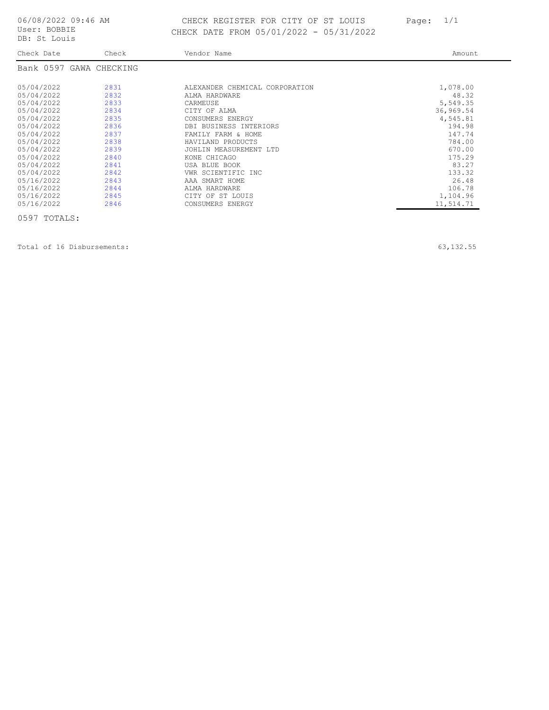## <span id="page-8-0"></span>06/08/2022 09:46 AM CHECK REGISTER FOR CITY OF ST LOUIS Page: 1/1 DB: St Louis CHECK DATE FROM 05/01/2022 - 05/31/2022

| Check Date                                                                                                                                                           | Check                                                                                        | Vendor Name                                                                                                                                                                                                                                               | Amount                                                                                                                      |
|----------------------------------------------------------------------------------------------------------------------------------------------------------------------|----------------------------------------------------------------------------------------------|-----------------------------------------------------------------------------------------------------------------------------------------------------------------------------------------------------------------------------------------------------------|-----------------------------------------------------------------------------------------------------------------------------|
| Bank 0597 GAWA CHECKING                                                                                                                                              |                                                                                              |                                                                                                                                                                                                                                                           |                                                                                                                             |
| 05/04/2022<br>05/04/2022<br>05/04/2022<br>05/04/2022<br>05/04/2022<br>05/04/2022<br>05/04/2022<br>05/04/2022<br>05/04/2022<br>05/04/2022<br>05/04/2022<br>05/04/2022 | 2831<br>2832<br>2833<br>2834<br>2835<br>2836<br>2837<br>2838<br>2839<br>2840<br>2841<br>2842 | ALEXANDER CHEMICAL CORPORATION<br>ALMA HARDWARE<br>CARMEUSE<br>CITY OF ALMA<br>CONSUMERS ENERGY<br>DBI BUSINESS INTERIORS<br>FAMILY FARM & HOME<br>HAVILAND PRODUCTS<br>JOHLIN MEASUREMENT LTD<br>KONE CHICAGO<br>USA BLUE BOOK<br>VWR SCIENTIFIC<br>TNC. | 1,078.00<br>48.32<br>5,549.35<br>36,969.54<br>4,545.81<br>194.98<br>147.74<br>784.00<br>670.00<br>175.29<br>83.27<br>133.32 |
| 05/16/2022<br>05/16/2022<br>05/16/2022<br>05/16/2022                                                                                                                 | 2843<br>2844<br>2845<br>2846                                                                 | AAA SMART HOME<br>ALMA HARDWARE<br>CITY OF ST LOUIS<br>CONSUMERS ENERGY                                                                                                                                                                                   | 26.48<br>106.78<br>1,104.96<br>11,514.71                                                                                    |

0597 TOTALS:

Total of 16 Disbursements: 63,132.55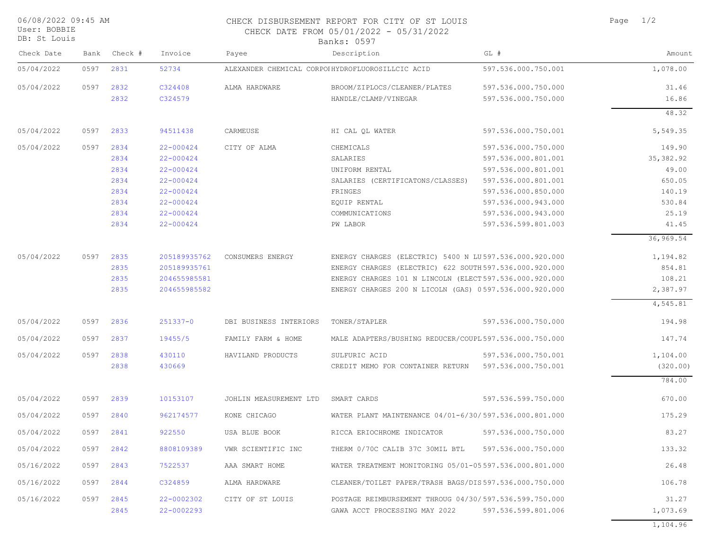| Page |  | 1/2 |
|------|--|-----|
|      |  |     |

CHECK DISBURSEMENT REPORT FOR CITY OF ST LOUIS CHECK DATE FROM 05/01/2022 - 05/31/2022

|  | User: BOBBIE  |
|--|---------------|
|  | DB: St. Louis |

06/08/2022 09:45 AM

| DB: St Louis |      |         |              |                        | Banks: 0597                                             |                     |            |
|--------------|------|---------|--------------|------------------------|---------------------------------------------------------|---------------------|------------|
| Check Date   | Bank | Check # | Invoice      | Payee                  | Description                                             | GL #                | Amount     |
| 05/04/2022   | 0597 | 2831    | 52734        |                        | ALEXANDER CHEMICAL CORPOHHYDROFLUOROSILLCIC ACID        | 597.536.000.750.001 | 1,078.00   |
| 05/04/2022   | 0597 | 2832    | C324408      | ALMA HARDWARE          | BROOM/ZIPLOCS/CLEANER/PLATES                            | 597.536.000.750.000 | 31.46      |
|              |      | 2832    | C324579      |                        | HANDLE/CLAMP/VINEGAR                                    | 597.536.000.750.000 | 16.86      |
|              |      |         |              |                        |                                                         |                     | 48.32      |
| 05/04/2022   | 0597 | 2833    | 94511438     | CARMEUSE               | HI CAL QL WATER                                         | 597.536.000.750.001 | 5,549.35   |
| 05/04/2022   | 0597 | 2834    | 22-000424    | CITY OF ALMA           | CHEMICALS                                               | 597.536.000.750.000 | 149.90     |
|              |      | 2834    | 22-000424    |                        | SALARIES                                                | 597.536.000.801.001 | 35, 382.92 |
|              |      | 2834    | 22-000424    |                        | UNIFORM RENTAL                                          | 597.536.000.801.001 | 49.00      |
|              |      | 2834    | 22-000424    |                        | SALARIES (CERTIFICATONS/CLASSES)                        | 597.536.000.801.001 | 650.05     |
|              |      | 2834    | 22-000424    |                        | FRINGES                                                 | 597.536.000.850.000 | 140.19     |
|              |      | 2834    | 22-000424    |                        | EQUIP RENTAL                                            | 597.536.000.943.000 | 530.84     |
|              |      | 2834    | 22-000424    |                        | COMMUNICATIONS                                          | 597.536.000.943.000 | 25.19      |
|              |      | 2834    | 22-000424    |                        | PW LABOR                                                | 597.536.599.801.003 | 41.45      |
|              |      |         |              |                        |                                                         |                     | 36,969.54  |
| 05/04/2022   | 0597 | 2835    | 205189935762 | CONSUMERS ENERGY       | ENERGY CHARGES (ELECTRIC) 5400 N LU597.536.000.920.000  |                     | 1,194.82   |
|              |      | 2835    | 205189935761 |                        | ENERGY CHARGES (ELECTRIC) 622 SOUTH 597.536.000.920.000 |                     | 854.81     |
|              |      | 2835    | 204655985581 |                        | ENERGY CHARGES 101 N LINCOLN (ELECT 597.536.000.920.000 |                     | 108.21     |
|              |      | 2835    | 204655985582 |                        | ENERGY CHARGES 200 N LICOLN (GAS) 0597.536.000.920.000  |                     | 2,387.97   |
|              |      |         |              |                        |                                                         |                     | 4,545.81   |
| 05/04/2022   | 0597 | 2836    | $251337 - 0$ | DBI BUSINESS INTERIORS | TONER/STAPLER                                           | 597.536.000.750.000 | 194.98     |
| 05/04/2022   | 0597 | 2837    | 19455/5      | FAMILY FARM & HOME     | MALE ADAPTERS/BUSHING REDUCER/COUPL 597.536.000.750.000 |                     | 147.74     |
| 05/04/2022   | 0597 | 2838    | 430110       | HAVILAND PRODUCTS      | SULFURIC ACID                                           | 597.536.000.750.001 | 1,104.00   |
|              |      | 2838    | 430669       |                        | CREDIT MEMO FOR CONTAINER RETURN                        | 597.536.000.750.001 | (320.00)   |
|              |      |         |              |                        |                                                         |                     | 784.00     |
| 05/04/2022   | 0597 | 2839    | 10153107     | JOHLIN MEASUREMENT LTD | SMART CARDS                                             | 597.536.599.750.000 | 670.00     |
| 05/04/2022   | 0597 | 2840    | 962174577    | KONE CHICAGO           | WATER PLANT MAINTENANCE 04/01-6/30/597.536.000.801.000  |                     | 175.29     |
| 05/04/2022   | 0597 | 2841    | 922550       | USA BLUE BOOK          | RICCA ERIOCHROME INDICATOR                              | 597.536.000.750.000 | 83.27      |
| 05/04/2022   | 0597 | 2842    | 8808109389   | VWR SCIENTIFIC INC     | THERM 0/70C CALIB 37C 30MIL BTL                         | 597.536.000.750.000 | 133.32     |
| 05/16/2022   | 0597 | 2843    | 7522537      | AAA SMART HOME         | WATER TREATMENT MONITORING 05/01-05597.536.000.801.000  |                     | 26.48      |
| 05/16/2022   | 0597 | 2844    | C324859      | ALMA HARDWARE          | CLEANER/TOILET PAPER/TRASH BAGS/DIS597.536.000.750.000  |                     | 106.78     |
| 05/16/2022   | 0597 | 2845    | 22-0002302   | CITY OF ST LOUIS       | POSTAGE REIMBURSEMENT THROUG 04/30/597.536.599.750.000  |                     | 31.27      |
|              |      | 2845    | 22-0002293   |                        | GAWA ACCT PROCESSING MAY 2022                           | 597.536.599.801.006 | 1,073.69   |

1,104.96